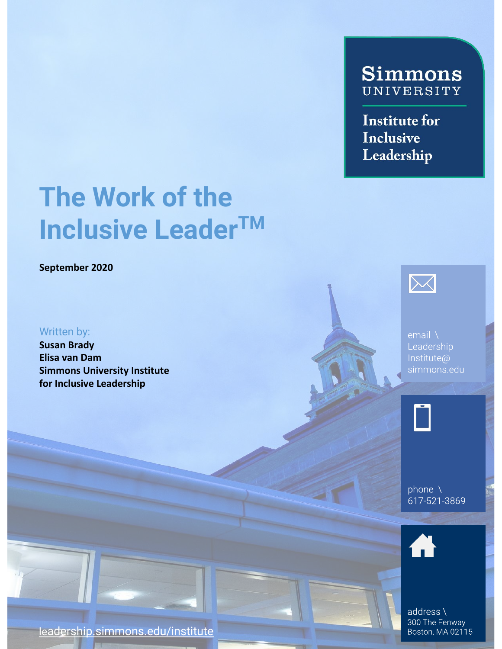# **Simmons** UNIVERSITY

**Institute for** Inclusive Leadership

# The Work of the **Inclusive Leader™**

September 2020

### Written by:

Susan Brady Elisa van Dam Simmons University Institute for Inclusive Leadership



email  $\setminus$ Leadership Institute@ simmons.edu



phone  $\lambda$ 617-521-3869



address \ 300 The Fenway Boston, MA 02115

leadership.simmons.edu/institute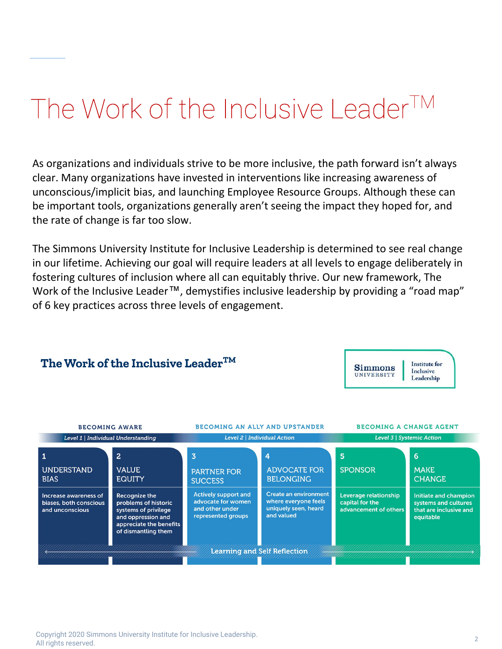# The Work of the Inclusive Leader<sup>TM</sup>

As organizations and individuals strive to be more inclusive, the path forward isn't always clear. Many organizations have invested in interventions like increasing awareness of unconscious/implicit bias, and launching Employee Resource Groups. Although these can be important tools, organizations generally aren't seeing the impact they hoped for, and the rate of change is far too slow.

The Simmons University Institute for Inclusive Leadership is determined to see real change in our lifetime. Achieving our goal will require leaders at all levels to engage deliberately in fostering cultures of inclusion where all can equitably thrive. Our new framework, The Work of the Inclusive Leader<sup>™</sup>, demystifies inclusive leadership by providing a "road map" of 6 key practices across three levels of engagement.

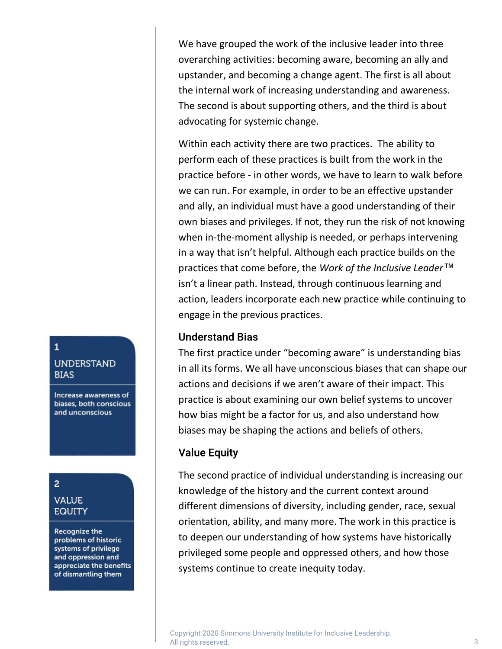We have grouped the work of the inclusive leader into three overarching activities: becoming aware, becoming an ally and upstander, and becoming a change agent. The first is all about the internal work of increasing understanding and awareness. The second is about supporting others, and the third is about advocating for systemic change.

Within each activity there are two practices. The ability to perform each of these practices is built from the work in the practice before - in other words, we have to learn to walk before we can run. For example, in order to be an effective upstander and ally, an individual must have a good understanding of their own biases and privileges. If not, they run the risk of not knowing when in-the-moment allyship is needed, or perhaps intervening in a way that isn't helpful. Although each practice builds on the practices that come before, the Work of the Inclusive Leader™ isn't a linear path. Instead, through continuous learning and action, leaders incorporate each new practice while continuing to engage in the previous practices.

### **Understand Bias**

The first practice under "becoming aware" is understanding bias in all its forms. We all have unconscious biases that can shape our actions and decisions if we aren't aware of their impact. This practice is about examining our own belief systems to uncover how bias might be a factor for us, and also understand how biases may be shaping the actions and beliefs of others.

### **Value Equity**

The second practice of individual understanding is increasing our knowledge of the history and the current context around different dimensions of diversity, including gender, race, sexual orientation, ability, and many more. The work in this practice is to deepen our understanding of how systems have historically privileged some people and oppressed others, and how those systems continue to create inequity today.

 Copyright 2020 Simmons University Institute for Inclusive Leadership. All rights reserved. 3

### $\mathbf{1}$

### **UNDERSTAND BIAS**

Increase awareness of biases, both conscious and unconscious

# $\overline{a}$

### **VALUE EQUITY**

**Recognize the** problems of historic systems of privilege and oppression and appreciate the benefits of dismantling them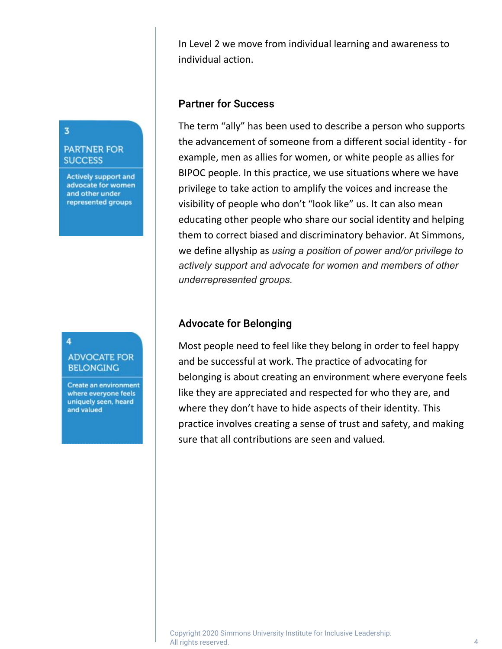In Level 2 we move from individual learning and awareness to individual action.

### **Partner for Success**

 actively support and advocate for women and members of other The term "ally" has been used to describe a person who supports the advancement of someone from a different social identity - for example, men as allies for women, or white people as allies for BIPOC people. In this practice, we use situations where we have privilege to take action to amplify the voices and increase the visibility of people who don't "look like" us. It can also mean educating other people who share our social identity and helping them to correct biased and discriminatory behavior. At Simmons, we define allyship as using a position of power and/or privilege to underrepresented groups.

### **Advocate for Belonging**

Most people need to feel like they belong in order to feel happy and be successful at work. The practice of advocating for belonging is about creating an environment where everyone feels like they are appreciated and respected for who they are, and where they don't have to hide aspects of their identity. This practice involves creating a sense of trust and safety, and making sure that all contributions are seen and valued.

# $\overline{\mathbf{3}}$

#### **PARTNER FOR SUCCESS**

**Actively support and** advocate for women and other under represented groups

#### 4

### **ADVOCATE FOR BELONGING**

**Create an environment** where everyone feels uniquely seen, heard and valued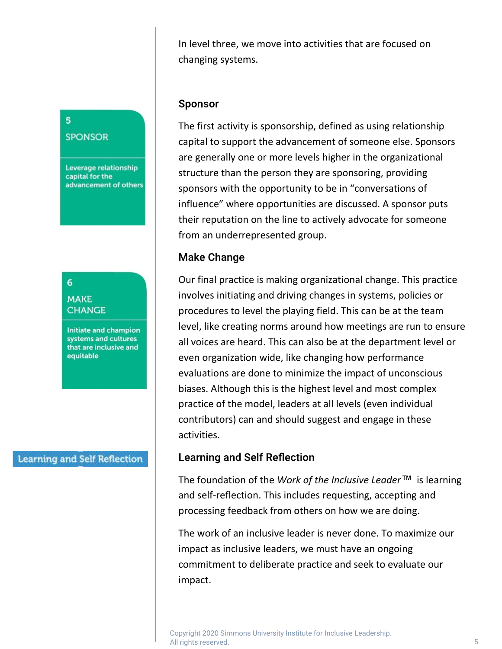In level three, we move into activities that are focused on changing systems.

### **Sponsor**

The first activity is sponsorship, defined as using relationship capital to support the advancement of someone else. Sponsors are generally one or more levels higher in the organizational structure than the person they are sponsoring, providing sponsors with the opportunity to be in "conversations of influence" where opportunities are discussed. A sponsor puts their reputation on the line to actively advocate for someone from an underrepresented group.

### **Make Change**

Our final practice is making organizational change. This practice involves initiating and driving changes in systems, policies or procedures to level the playing field. This can be at the team level, like creating norms around how meetings are run to ensure all voices are heard. This can also be at the department level or even organization wide, like changing how performance evaluations are done to minimize the impact of unconscious biases. Although this is the highest level and most complex practice of the model, leaders at all levels (even individual contributors) can and should suggest and engage in these activities.

## **Learning and Self Reflection**

The foundation of the Work of the Inclusive Leader<sup>™</sup> is learning and self-reflection. This includes requesting, accepting and processing feedback from others on how we are doing.

 commitment to deliberate practice and seek to evaluate our The work of an inclusive leader is never done. To maximize our impact as inclusive leaders, we must have an ongoing impact.

# 5 **SPONSOR**

Leverage relationship capital for the advancement of others

## 6 **MAKE CHANGE**

**Initiate and champion** systems and cultures that are inclusive and equitable

### **Learning and Self Reflection**